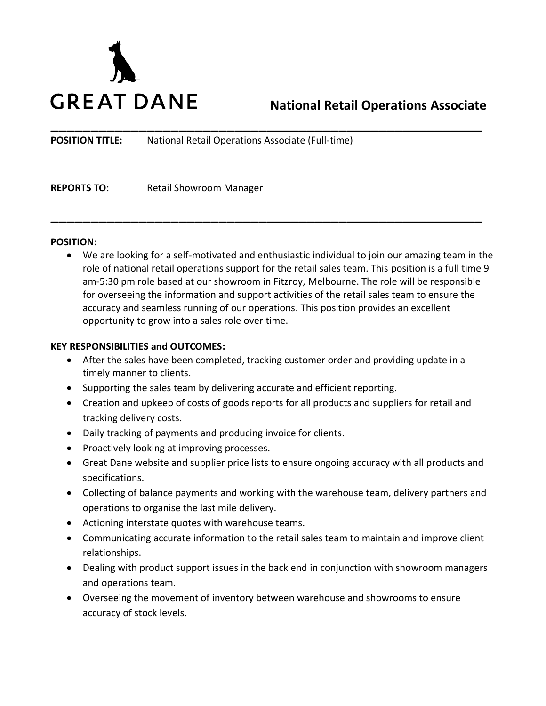

# **National Retail Operations Associate**

**POSITION TITLE:** National Retail Operations Associate (Full-time)

**REPORTS TO:** Retail Showroom Manager

#### **POSITION:**

• We are looking for a self-motivated and enthusiastic individual to join our amazing team in the role of national retail operations support for the retail sales team. This position is a full time 9 am-5:30 pm role based at our showroom in Fitzroy, Melbourne. The role will be responsible for overseeing the information and support activities of the retail sales team to ensure the accuracy and seamless running of our operations. This position provides an excellent opportunity to grow into a sales role over time.

\_\_\_\_\_\_\_\_\_\_\_\_\_\_\_\_\_\_\_\_\_\_\_\_\_\_\_\_\_\_\_\_\_\_\_\_\_\_\_\_\_\_\_\_\_\_\_\_\_\_\_\_\_\_

\_\_\_\_\_\_\_\_\_\_\_\_\_\_\_\_\_\_\_\_\_\_\_\_\_\_\_\_\_\_\_\_\_\_\_\_\_\_\_\_\_\_\_\_\_\_\_\_\_\_\_\_\_\_

#### **KEY RESPONSIBILITIES and OUTCOMES:**

- After the sales have been completed, tracking customer order and providing update in a timely manner to clients.
- Supporting the sales team by delivering accurate and efficient reporting.
- Creation and upkeep of costs of goods reports for all products and suppliers for retail and tracking delivery costs.
- Daily tracking of payments and producing invoice for clients.
- Proactively looking at improving processes.
- Great Dane website and supplier price lists to ensure ongoing accuracy with all products and specifications.
- Collecting of balance payments and working with the warehouse team, delivery partners and operations to organise the last mile delivery.
- Actioning interstate quotes with warehouse teams.
- Communicating accurate information to the retail sales team to maintain and improve client relationships.
- Dealing with product support issues in the back end in conjunction with showroom managers and operations team.
- Overseeing the movement of inventory between warehouse and showrooms to ensure accuracy of stock levels.